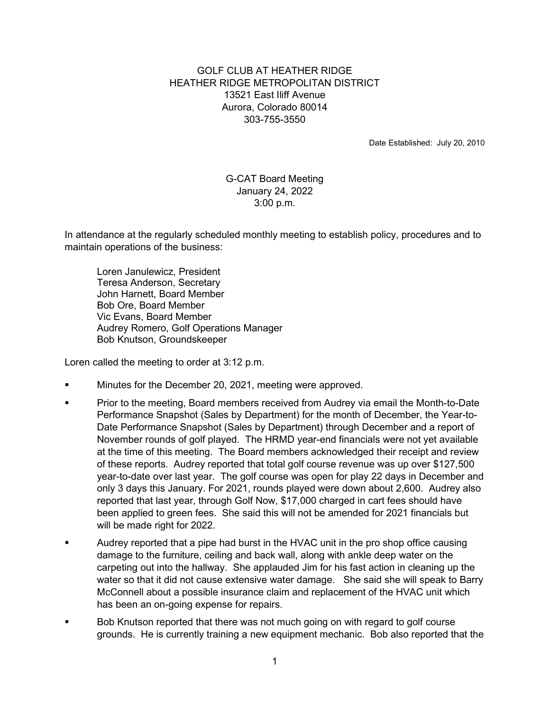## GOLF CLUB AT HEATHER RIDGE HEATHER RIDGE METROPOLITAN DISTRICT 13521 East Iliff Avenue Aurora, Colorado 80014 303-755-3550

Date Established: July 20, 2010

## G-CAT Board Meeting January 24, 2022 3:00 p.m.

In attendance at the regularly scheduled monthly meeting to establish policy, procedures and to maintain operations of the business:

 Loren Janulewicz, President Teresa Anderson, Secretary John Harnett, Board Member Bob Ore, Board Member Vic Evans, Board Member Audrey Romero, Golf Operations Manager Bob Knutson, Groundskeeper

Loren called the meeting to order at 3:12 p.m.

- Minutes for the December 20, 2021, meeting were approved.
- Prior to the meeting, Board members received from Audrey via email the Month-to-Date Performance Snapshot (Sales by Department) for the month of December, the Year-to-Date Performance Snapshot (Sales by Department) through December and a report of November rounds of golf played. The HRMD year-end financials were not yet available at the time of this meeting. The Board members acknowledged their receipt and review of these reports. Audrey reported that total golf course revenue was up over \$127,500 year-to-date over last year. The golf course was open for play 22 days in December and only 3 days this January. For 2021, rounds played were down about 2,600. Audrey also reported that last year, through Golf Now, \$17,000 charged in cart fees should have been applied to green fees. She said this will not be amended for 2021 financials but will be made right for 2022.
- Audrey reported that a pipe had burst in the HVAC unit in the pro shop office causing damage to the furniture, ceiling and back wall, along with ankle deep water on the carpeting out into the hallway. She applauded Jim for his fast action in cleaning up the water so that it did not cause extensive water damage. She said she will speak to Barry McConnell about a possible insurance claim and replacement of the HVAC unit which has been an on-going expense for repairs.
- Bob Knutson reported that there was not much going on with regard to golf course grounds. He is currently training a new equipment mechanic. Bob also reported that the